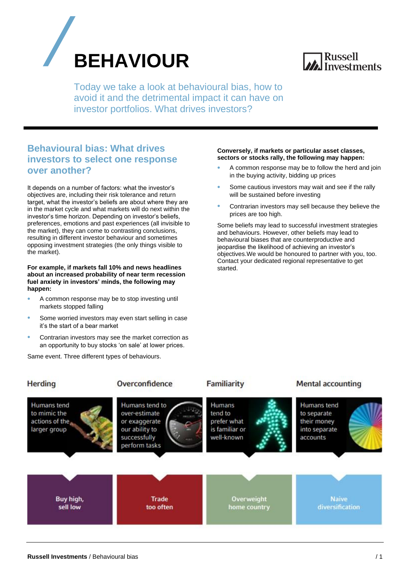



Today we take a look at behavioural bias, how to avoid it and the detrimental impact it can have on investor portfolios. What drives investors?

## **Behavioural bias: What drives investors to select one response over another?**

It depends on a number of factors: what the investor's objectives are, including their risk tolerance and return target, what the investor's beliefs are about where they are in the market cycle and what markets will do next within the investor's time horizon. Depending on investor's beliefs, preferences, emotions and past experiences (all invisible to the market), they can come to contrasting conclusions, resulting in different investor behaviour and sometimes opposing investment strategies (the only things visible to the market).

#### **For example, if markets fall 10% and news headlines about an increased probability of near term recession fuel anxiety in investors' minds, the following may happen:**

- A common response may be to stop investing until markets stopped falling
- Some worried investors may even start selling in case it's the start of a bear market
- Contrarian investors may see the market correction as an opportunity to buy stocks 'on sale' at lower prices.

Same event. Three different types of behaviours.

#### **Conversely, if markets or particular asset classes, sectors or stocks rally, the following may happen:**

- A common response may be to follow the herd and join in the buying activity, bidding up prices
- Some cautious investors may wait and see if the rally will be sustained before investing
- Contrarian investors may sell because they believe the prices are too high.

Some beliefs may lead to successful investment strategies and behaviours. However, other beliefs may lead to behavioural biases that are counterproductive and jeopardise the likelihood of achieving an investor's objectives.We would be honoured to partner with you, too. Contact your dedicated regional representative to get started.

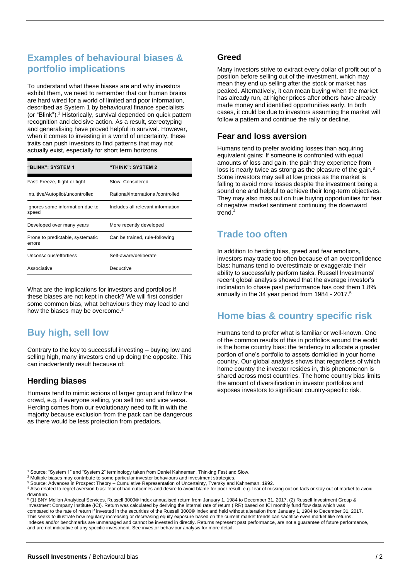# **Examples of behavioural biases & portfolio implications**

To understand what these biases are and why investors exhibit them, we need to remember that our human brains are hard wired for a world of limited and poor information, described as System 1 by behavioural finance specialists (or "Blink").<sup>1</sup> Historically, survival depended on quick pattern recognition and decisive action. As a result, stereotyping and generalising have proved helpful in survival. However, when it comes to investing in a world of uncertainty, these traits can push investors to find patterns that may not actually exist, especially for short term horizons.

| <b>"BLINK": SYSTEM 1</b>                   | "THINK": SYSTEM 2                 |
|--------------------------------------------|-----------------------------------|
| Fast: Freeze, flight or fight              | Slow: Considered                  |
| Intuitive/Autopilot/uncontrolled           | Rational/International/controlled |
| Ignores some information due to<br>speed   | Includes all relevant information |
| Developed over many years                  | More recently developed           |
| Prone to predictable, systematic<br>errors | Can be trained, rule-following    |
| Unconscious/effortless                     | Self-aware/deliberate             |
| Associative                                | Deductive                         |

What are the implications for investors and portfolios if these biases are not kept in check? We will first consider some common bias, what behaviours they may lead to and how the biases may be overcome.<sup>2</sup>

# **Buy high, sell low**

Contrary to the key to successful investing – buying low and selling high, many investors end up doing the opposite. This can inadvertently result because of:

### **Herding biases**

Humans tend to mimic actions of larger group and follow the crowd, e.g. if everyone selling, you sell too and vice versa. Herding comes from our evolutionary need to fit in with the majority because exclusion from the pack can be dangerous as there would be less protection from predators.

### **Greed**

Many investors strive to extract every dollar of profit out of a position before selling out of the investment, which may mean they end up selling after the stock or market has peaked. Alternatively, it can mean buying when the market has already run, at higher prices after others have already made money and identified opportunities early. In both cases, it could be due to investors assuming the market will follow a pattern and continue the rally or decline.

### **Fear and loss aversion**

Humans tend to prefer avoiding losses than acquiring equivalent gains: If someone is confronted with equal amounts of loss and gain, the pain they experience from loss is nearly twice as strong as the pleasure of the gain.<sup>3</sup> Some investors may sell at low prices as the market is falling to avoid more losses despite the investment being a sound one and helpful to achieve their long-term objectives. They may also miss out on true buying opportunities for fear of negative market sentiment continuing the downward trend.<sup>4</sup>

## **Trade too often**

In addition to herding bias, greed and fear emotions, investors may trade too often because of an overconfidence bias: humans tend to overestimate or exaggerate their ability to successfully perform tasks. Russell Investments' recent global analysis showed that the average investor's inclination to chase past performance has cost them 1.8% annually in the 34 year period from 1984 - 2017.<sup>5</sup>

# **Home bias & country specific risk**

Humans tend to prefer what is familiar or well-known. One of the common results of this in portfolios around the world is the home country bias: the tendency to allocate a greater portion of one's portfolio to assets domiciled in your home country. Our global analysis shows that regardless of which home country the investor resides in, this phenomenon is shared across most countries. The home country bias limits the amount of diversification in investor portfolios and exposes investors to significant country-specific risk.

<sup>&</sup>lt;sup>1</sup> Source: "System 1" and "System 2" terminology taken from Daniel Kahneman, Thinking Fast and Slow.

<sup>&</sup>lt;sup>2</sup> Multiple biases may contribute to some particular investor behaviours and investment strategies.

<sup>3</sup> Source: Advances in Prospect Theory – Cumulative Representation of Uncertainty, Tversky and Kahneman, 1992.

<sup>4</sup> Also related to regret aversion bias: fear of bad outcomes and desire to avoid blame for poor result, e.g. fear of missing out on fads or stay out of market to avoid downturn

<sup>5</sup> (1) BNY Mellon Analytical Services, Russell 3000® Index annualised return from January 1, 1984 to December 31, 2017. (2) Russell Investment Group & Investment Company Institute (ICI). Return was calculated by deriving the internal rate of return (IRR) based on ICI monthly fund flow data which was compared to the rate of return if invested in the securities of the Russell 3000® Index and held without alteration from January 1, 1984 to December 31, 2017. This seeks to illustrate how regularly increasing or decreasing equity exposure based on the current market trends can sacrifice even market like returns. Indexes and/or benchmarks are unmanaged and cannot be invested in directly. Returns represent past performance, are not a guarantee of future performance, and are not indicative of any specific investment. See investor behaviour analysis for more detail.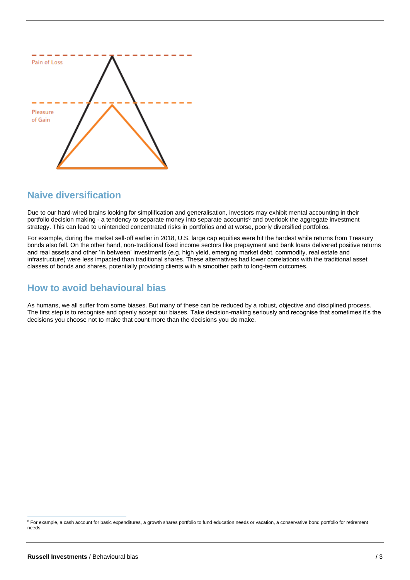

### **Naive diversification**

Due to our hard-wired brains looking for simplification and generalisation, investors may exhibit mental accounting in their portfolio decision making - a tendency to separate money into separate accounts<sup>6</sup> and overlook the aggregate investment strategy. This can lead to unintended concentrated risks in portfolios and at worse, poorly diversified portfolios.

For example, during the market sell-off earlier in 2018, U.S. large cap equities were hit the hardest while returns from Treasury bonds also fell. On the other hand, non-traditional fixed income sectors like prepayment and bank loans delivered positive returns and real assets and other 'in between' investments (e.g. high yield, emerging market debt, commodity, real estate and infrastructure) were less impacted than traditional shares. These alternatives had lower correlations with the traditional asset classes of bonds and shares, potentially providing clients with a smoother path to long-term outcomes.

## **How to avoid behavioural bias**

As humans, we all suffer from some biases. But many of these can be reduced by a robust, objective and disciplined process. The first step is to recognise and openly accept our biases. Take decision-making seriously and recognise that sometimes it's the decisions you choose not to make that count more than the decisions you do make.

<sup>&</sup>lt;sup>6</sup> For example, a cash account for basic expenditures, a growth shares portfolio to fund education needs or vacation, a conservative bond portfolio for retirement needs.